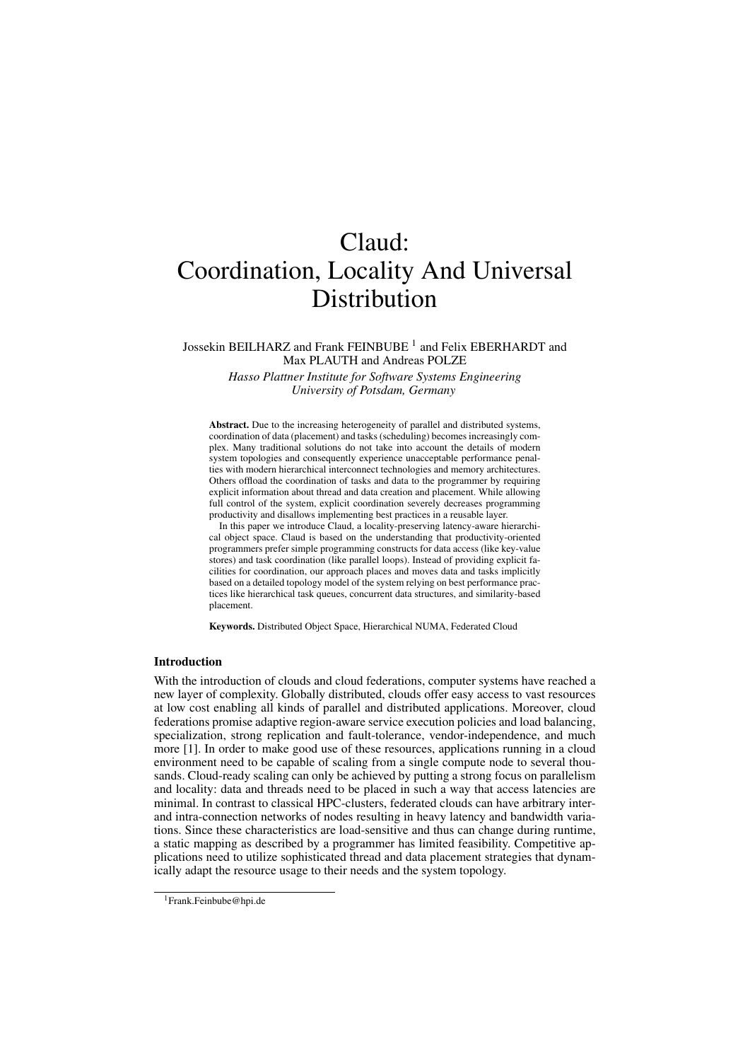# Claud: Coordination, Locality And Universal **Distribution**

## Jossekin BEILHARZ and Frank FEINBUBE 1 and Felix EBERHARDT and Max PLAUTH and Andreas POLZE

*Hasso Plattner Institute for Software Systems Engineering University of Potsdam, Germany*

Abstract. Due to the increasing heterogeneity of parallel and distributed systems, coordination of data (placement) and tasks (scheduling) becomes increasingly complex. Many traditional solutions do not take into account the details of modern system topologies and consequently experience unacceptable performance penalties with modern hierarchical interconnect technologies and memory architectures. Others offload the coordination of tasks and data to the programmer by requiring explicit information about thread and data creation and placement. While allowing full control of the system, explicit coordination severely decreases programming productivity and disallows implementing best practices in a reusable layer.

In this paper we introduce Claud, a locality-preserving latency-aware hierarchical object space. Claud is based on the understanding that productivity-oriented programmers prefer simple programming constructs for data access (like key-value stores) and task coordination (like parallel loops). Instead of providing explicit facilities for coordination, our approach places and moves data and tasks implicitly based on a detailed topology model of the system relying on best performance practices like hierarchical task queues, concurrent data structures, and similarity-based placement.

Keywords. Distributed Object Space, Hierarchical NUMA, Federated Cloud

## Introduction

With the introduction of clouds and cloud federations, computer systems have reached a new layer of complexity. Globally distributed, clouds offer easy access to vast resources at low cost enabling all kinds of parallel and distributed applications. Moreover, cloud federations promise adaptive region-aware service execution policies and load balancing, specialization, strong replication and fault-tolerance, vendor-independence, and much more [1]. In order to make good use of these resources, applications running in a cloud environment need to be capable of scaling from a single compute node to several thousands. Cloud-ready scaling can only be achieved by putting a strong focus on parallelism and locality: data and threads need to be placed in such a way that access latencies are minimal. In contrast to classical HPC-clusters, federated clouds can have arbitrary interand intra-connection networks of nodes resulting in heavy latency and bandwidth variations. Since these characteristics are load-sensitive and thus can change during runtime, a static mapping as described by a programmer has limited feasibility. Competitive applications need to utilize sophisticated thread and data placement strategies that dynamically adapt the resource usage to their needs and the system topology.

<sup>1</sup>Frank.Feinbube@hpi.de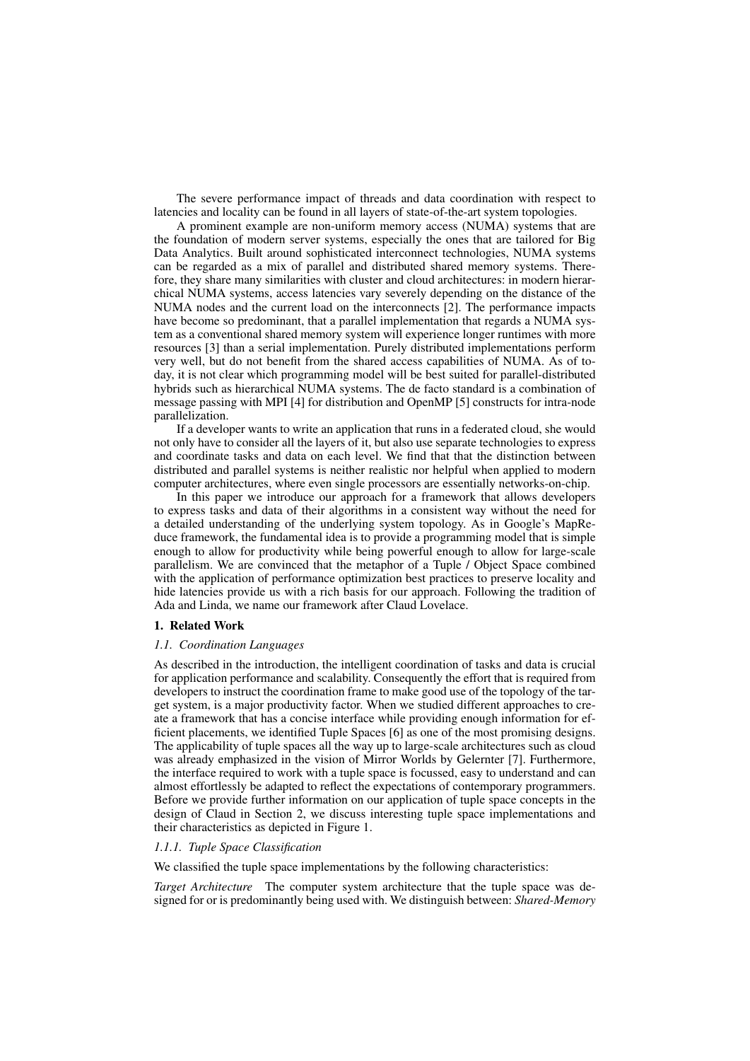The severe performance impact of threads and data coordination with respect to latencies and locality can be found in all layers of state-of-the-art system topologies.

A prominent example are non-uniform memory access (NUMA) systems that are the foundation of modern server systems, especially the ones that are tailored for Big Data Analytics. Built around sophisticated interconnect technologies, NUMA systems can be regarded as a mix of parallel and distributed shared memory systems. Therefore, they share many similarities with cluster and cloud architectures: in modern hierarchical NUMA systems, access latencies vary severely depending on the distance of the NUMA nodes and the current load on the interconnects [2]. The performance impacts have become so predominant, that a parallel implementation that regards a NUMA system as a conventional shared memory system will experience longer runtimes with more resources [3] than a serial implementation. Purely distributed implementations perform very well, but do not benefit from the shared access capabilities of NUMA. As of today, it is not clear which programming model will be best suited for parallel-distributed hybrids such as hierarchical NUMA systems. The de facto standard is a combination of message passing with MPI [4] for distribution and OpenMP [5] constructs for intra-node parallelization.

If a developer wants to write an application that runs in a federated cloud, she would not only have to consider all the layers of it, but also use separate technologies to express and coordinate tasks and data on each level. We find that that the distinction between distributed and parallel systems is neither realistic nor helpful when applied to modern computer architectures, where even single processors are essentially networks-on-chip.

In this paper we introduce our approach for a framework that allows developers to express tasks and data of their algorithms in a consistent way without the need for a detailed understanding of the underlying system topology. As in Google's MapReduce framework, the fundamental idea is to provide a programming model that is simple enough to allow for productivity while being powerful enough to allow for large-scale parallelism. We are convinced that the metaphor of a Tuple / Object Space combined with the application of performance optimization best practices to preserve locality and hide latencies provide us with a rich basis for our approach. Following the tradition of Ada and Linda, we name our framework after Claud Lovelace.

## 1. Related Work

## *1.1. Coordination Languages*

As described in the introduction, the intelligent coordination of tasks and data is crucial for application performance and scalability. Consequently the effort that is required from developers to instruct the coordination frame to make good use of the topology of the target system, is a major productivity factor. When we studied different approaches to create a framework that has a concise interface while providing enough information for efficient placements, we identified Tuple Spaces [6] as one of the most promising designs. The applicability of tuple spaces all the way up to large-scale architectures such as cloud was already emphasized in the vision of Mirror Worlds by Gelernter [7]. Furthermore, the interface required to work with a tuple space is focussed, easy to understand and can almost effortlessly be adapted to reflect the expectations of contemporary programmers. Before we provide further information on our application of tuple space concepts in the design of Claud in Section 2, we discuss interesting tuple space implementations and their characteristics as depicted in Figure 1.

## *1.1.1. Tuple Space Classification*

We classified the tuple space implementations by the following characteristics:

*Target Architecture* The computer system architecture that the tuple space was designed for or is predominantly being used with. We distinguish between: *Shared-Memory*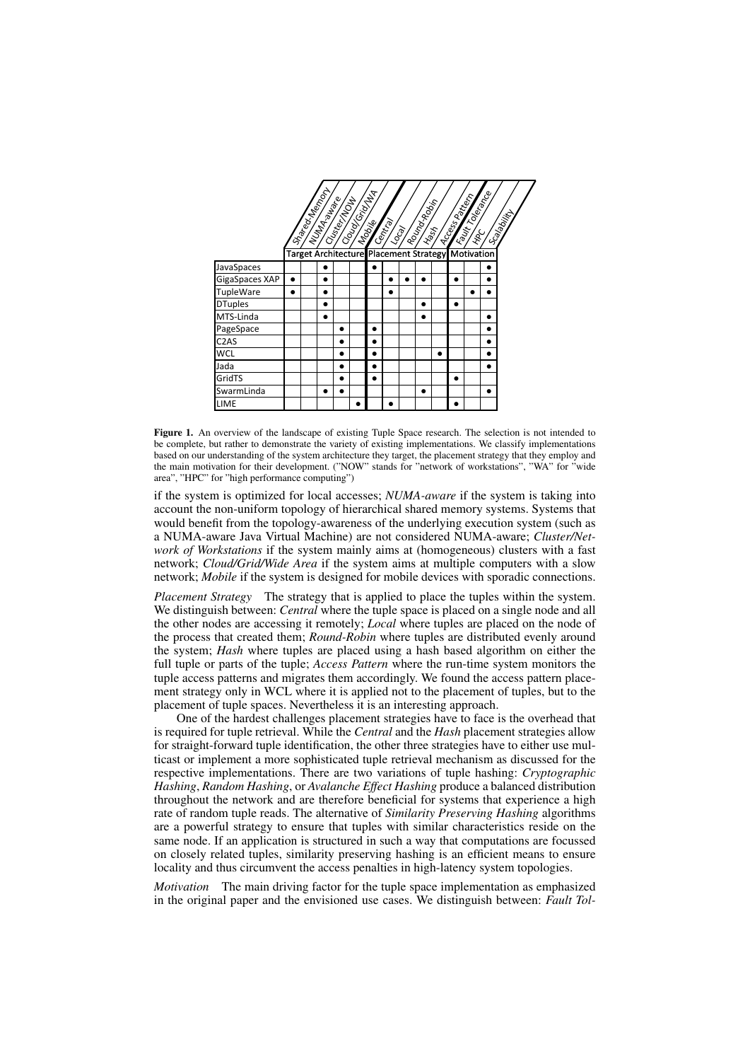|                   |           | in the first control of |                                                   |               |           |           |           |                       |           | <b>Allegation</b> |           |                 |
|-------------------|-----------|-------------------------|---------------------------------------------------|---------------|-----------|-----------|-----------|-----------------------|-----------|-------------------|-----------|-----------------|
|                   |           |                         |                                                   |               |           |           |           | <b>Rossing Report</b> |           |                   |           | <b>SERVISED</b> |
|                   |           |                         |                                                   | <b>SARANT</b> |           | to de     |           |                       |           |                   |           |                 |
|                   |           |                         |                                                   |               |           |           |           |                       |           |                   |           |                 |
|                   |           |                         | Target Architecture Placement Strategy Motivation |               |           |           |           |                       |           |                   |           |                 |
| JavaSpaces        |           | $\bullet$               |                                                   |               | $\bullet$ |           |           |                       |           |                   |           | $\bullet$       |
| GigaSpaces XAP    | $\bullet$ | $\bullet$               |                                                   |               |           | $\bullet$ | $\bullet$ | $\bullet$             |           | $\bullet$         |           | $\bullet$       |
| TupleWare         | $\bullet$ | $\bullet$               |                                                   |               |           | $\bullet$ |           |                       |           |                   | $\bullet$ | $\bullet$       |
| <b>DTuples</b>    |           | $\bullet$               |                                                   |               |           |           |           | $\bullet$             |           | ٠                 |           |                 |
| MTS-Linda         |           | $\bullet$               |                                                   |               |           |           |           | $\bullet$             |           |                   |           | $\bullet$       |
| PageSpace         |           |                         | $\bullet$                                         |               | $\bullet$ |           |           |                       |           |                   |           | $\bullet$       |
| C <sub>2</sub> AS |           |                         | $\bullet$                                         |               | $\bullet$ |           |           |                       |           |                   |           | $\bullet$       |
| <b>WCL</b>        |           |                         | $\bullet$                                         |               | $\bullet$ |           |           |                       | $\bullet$ |                   |           | $\bullet$       |
| Jada              |           |                         | $\bullet$                                         |               | $\bullet$ |           |           |                       |           |                   |           | $\bullet$       |
| GridTS            |           |                         | $\bullet$                                         |               | $\bullet$ |           |           |                       |           | $\bullet$         |           |                 |
| SwarmLinda        |           | $\bullet$               | $\bullet$                                         |               |           |           |           | $\bullet$             |           |                   |           | $\bullet$       |
| LIME              |           |                         |                                                   | $\bullet$     |           | $\bullet$ |           |                       |           | $\bullet$         |           |                 |

Figure 1. An overview of the landscape of existing Tuple Space research. The selection is not intended to be complete, but rather to demonstrate the variety of existing implementations. We classify implementations based on our understanding of the system architecture they target, the placement strategy that they employ and the main motivation for their development. ("NOW" stands for "network of workstations", "WA" for "wide area", "HPC" for "high performance computing")

if the system is optimized for local accesses; *NUMA-aware* if the system is taking into account the non-uniform topology of hierarchical shared memory systems. Systems that would benefit from the topology-awareness of the underlying execution system (such as a NUMA-aware Java Virtual Machine) are not considered NUMA-aware; *Cluster/Network of Workstations* if the system mainly aims at (homogeneous) clusters with a fast network; *Cloud/Grid/Wide Area* if the system aims at multiple computers with a slow network; *Mobile* if the system is designed for mobile devices with sporadic connections.

*Placement Strategy* The strategy that is applied to place the tuples within the system. We distinguish between: *Central* where the tuple space is placed on a single node and all the other nodes are accessing it remotely; *Local* where tuples are placed on the node of the process that created them; *Round-Robin* where tuples are distributed evenly around the system; *Hash* where tuples are placed using a hash based algorithm on either the full tuple or parts of the tuple; *Access Pattern* where the run-time system monitors the tuple access patterns and migrates them accordingly. We found the access pattern placement strategy only in WCL where it is applied not to the placement of tuples, but to the placement of tuple spaces. Nevertheless it is an interesting approach.

One of the hardest challenges placement strategies have to face is the overhead that is required for tuple retrieval. While the *Central* and the *Hash* placement strategies allow for straight-forward tuple identification, the other three strategies have to either use multicast or implement a more sophisticated tuple retrieval mechanism as discussed for the respective implementations. There are two variations of tuple hashing: *Cryptographic Hashing*, *Random Hashing*, or *Avalanche Effect Hashing* produce a balanced distribution throughout the network and are therefore beneficial for systems that experience a high rate of random tuple reads. The alternative of *Similarity Preserving Hashing* algorithms are a powerful strategy to ensure that tuples with similar characteristics reside on the same node. If an application is structured in such a way that computations are focussed on closely related tuples, similarity preserving hashing is an efficient means to ensure locality and thus circumvent the access penalties in high-latency system topologies.

*Motivation* The main driving factor for the tuple space implementation as emphasized in the original paper and the envisioned use cases. We distinguish between: *Fault Tol-*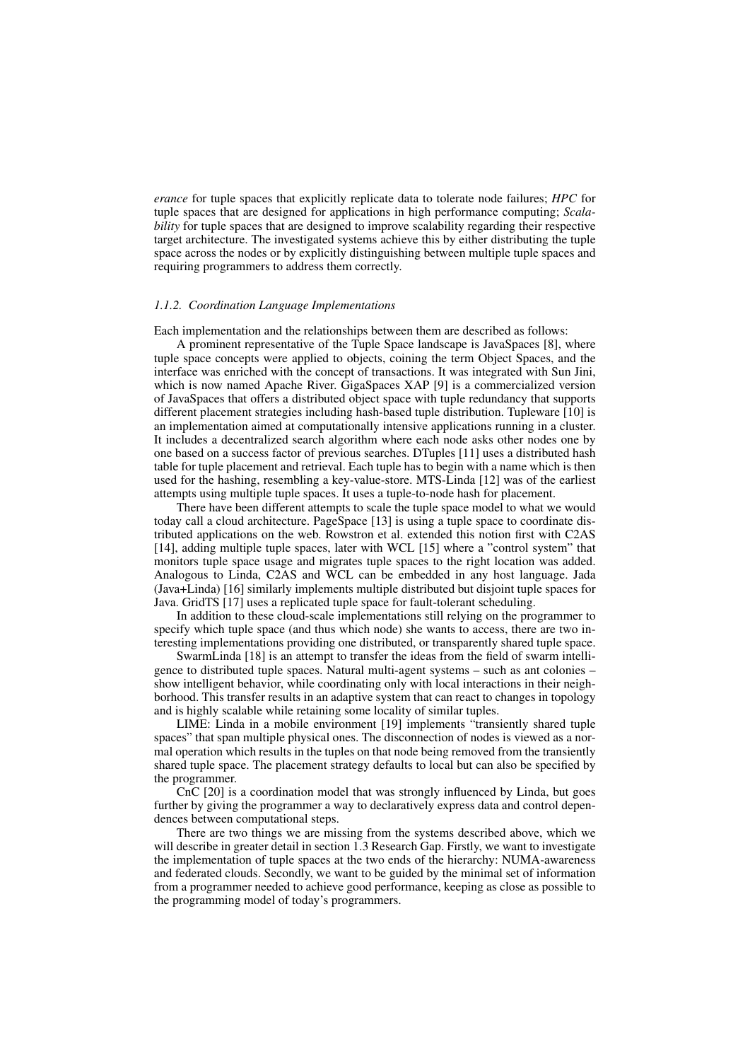*erance* for tuple spaces that explicitly replicate data to tolerate node failures; *HPC* for tuple spaces that are designed for applications in high performance computing; *Scalability* for tuple spaces that are designed to improve scalability regarding their respective target architecture. The investigated systems achieve this by either distributing the tuple space across the nodes or by explicitly distinguishing between multiple tuple spaces and requiring programmers to address them correctly.

#### *1.1.2. Coordination Language Implementations*

Each implementation and the relationships between them are described as follows:

A prominent representative of the Tuple Space landscape is JavaSpaces [8], where tuple space concepts were applied to objects, coining the term Object Spaces, and the interface was enriched with the concept of transactions. It was integrated with Sun Jini, which is now named Apache River. GigaSpaces XAP [9] is a commercialized version of JavaSpaces that offers a distributed object space with tuple redundancy that supports different placement strategies including hash-based tuple distribution. Tupleware [10] is an implementation aimed at computationally intensive applications running in a cluster. It includes a decentralized search algorithm where each node asks other nodes one by one based on a success factor of previous searches. DTuples [11] uses a distributed hash table for tuple placement and retrieval. Each tuple has to begin with a name which is then used for the hashing, resembling a key-value-store. MTS-Linda [12] was of the earliest attempts using multiple tuple spaces. It uses a tuple-to-node hash for placement.

There have been different attempts to scale the tuple space model to what we would today call a cloud architecture. PageSpace [13] is using a tuple space to coordinate distributed applications on the web. Rowstron et al. extended this notion first with C2AS [14], adding multiple tuple spaces, later with WCL [15] where a "control system" that monitors tuple space usage and migrates tuple spaces to the right location was added. Analogous to Linda, C2AS and WCL can be embedded in any host language. Jada (Java+Linda) [16] similarly implements multiple distributed but disjoint tuple spaces for Java. GridTS [17] uses a replicated tuple space for fault-tolerant scheduling.

In addition to these cloud-scale implementations still relying on the programmer to specify which tuple space (and thus which node) she wants to access, there are two interesting implementations providing one distributed, or transparently shared tuple space.

SwarmLinda [18] is an attempt to transfer the ideas from the field of swarm intelligence to distributed tuple spaces. Natural multi-agent systems – such as ant colonies – show intelligent behavior, while coordinating only with local interactions in their neighborhood. This transfer results in an adaptive system that can react to changes in topology and is highly scalable while retaining some locality of similar tuples.

LIME: Linda in a mobile environment [19] implements "transiently shared tuple spaces" that span multiple physical ones. The disconnection of nodes is viewed as a normal operation which results in the tuples on that node being removed from the transiently shared tuple space. The placement strategy defaults to local but can also be specified by the programmer.

CnC [20] is a coordination model that was strongly influenced by Linda, but goes further by giving the programmer a way to declaratively express data and control dependences between computational steps.

There are two things we are missing from the systems described above, which we will describe in greater detail in section 1.3 Research Gap. Firstly, we want to investigate the implementation of tuple spaces at the two ends of the hierarchy: NUMA-awareness and federated clouds. Secondly, we want to be guided by the minimal set of information from a programmer needed to achieve good performance, keeping as close as possible to the programming model of today's programmers.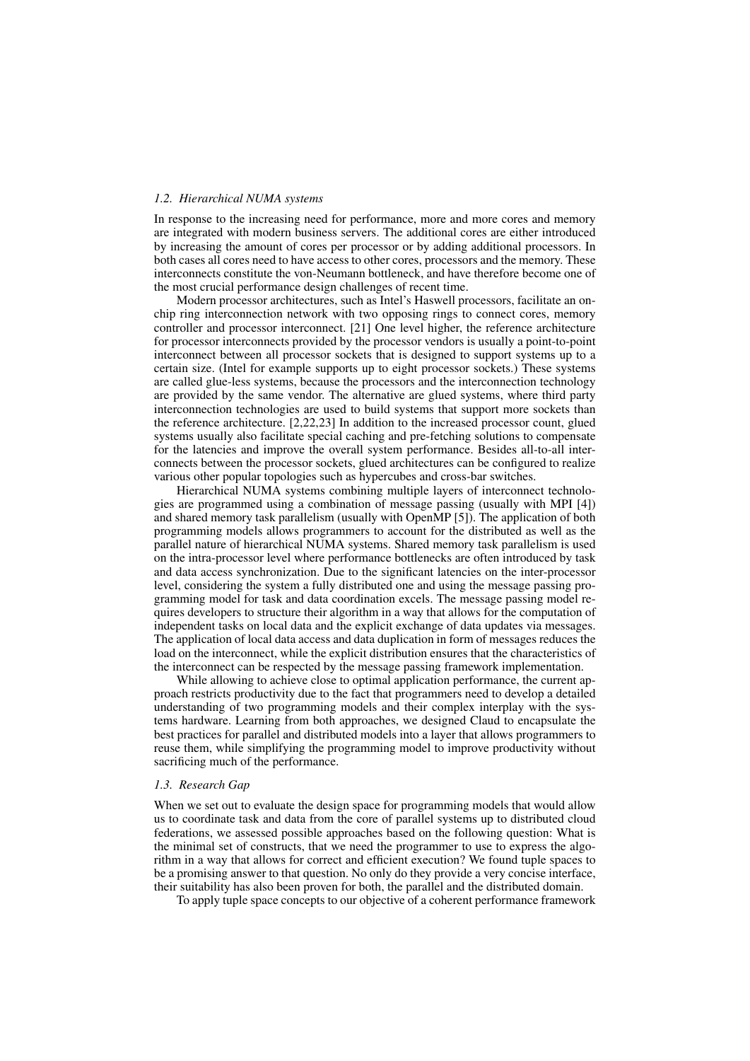# *1.2. Hierarchical NUMA systems*

In response to the increasing need for performance, more and more cores and memory are integrated with modern business servers. The additional cores are either introduced by increasing the amount of cores per processor or by adding additional processors. In both cases all cores need to have access to other cores, processors and the memory. These interconnects constitute the von-Neumann bottleneck, and have therefore become one of the most crucial performance design challenges of recent time.

Modern processor architectures, such as Intel's Haswell processors, facilitate an onchip ring interconnection network with two opposing rings to connect cores, memory controller and processor interconnect. [21] One level higher, the reference architecture for processor interconnects provided by the processor vendors is usually a point-to-point interconnect between all processor sockets that is designed to support systems up to a certain size. (Intel for example supports up to eight processor sockets.) These systems are called glue-less systems, because the processors and the interconnection technology are provided by the same vendor. The alternative are glued systems, where third party interconnection technologies are used to build systems that support more sockets than the reference architecture. [2,22,23] In addition to the increased processor count, glued systems usually also facilitate special caching and pre-fetching solutions to compensate for the latencies and improve the overall system performance. Besides all-to-all interconnects between the processor sockets, glued architectures can be configured to realize various other popular topologies such as hypercubes and cross-bar switches.

Hierarchical NUMA systems combining multiple layers of interconnect technologies are programmed using a combination of message passing (usually with MPI [4]) and shared memory task parallelism (usually with OpenMP [5]). The application of both programming models allows programmers to account for the distributed as well as the parallel nature of hierarchical NUMA systems. Shared memory task parallelism is used on the intra-processor level where performance bottlenecks are often introduced by task and data access synchronization. Due to the significant latencies on the inter-processor level, considering the system a fully distributed one and using the message passing programming model for task and data coordination excels. The message passing model requires developers to structure their algorithm in a way that allows for the computation of independent tasks on local data and the explicit exchange of data updates via messages. The application of local data access and data duplication in form of messages reduces the load on the interconnect, while the explicit distribution ensures that the characteristics of the interconnect can be respected by the message passing framework implementation.

While allowing to achieve close to optimal application performance, the current approach restricts productivity due to the fact that programmers need to develop a detailed understanding of two programming models and their complex interplay with the systems hardware. Learning from both approaches, we designed Claud to encapsulate the best practices for parallel and distributed models into a layer that allows programmers to reuse them, while simplifying the programming model to improve productivity without sacrificing much of the performance.

## *1.3. Research Gap*

When we set out to evaluate the design space for programming models that would allow us to coordinate task and data from the core of parallel systems up to distributed cloud federations, we assessed possible approaches based on the following question: What is the minimal set of constructs, that we need the programmer to use to express the algorithm in a way that allows for correct and efficient execution? We found tuple spaces to be a promising answer to that question. No only do they provide a very concise interface, their suitability has also been proven for both, the parallel and the distributed domain.

To apply tuple space concepts to our objective of a coherent performance framework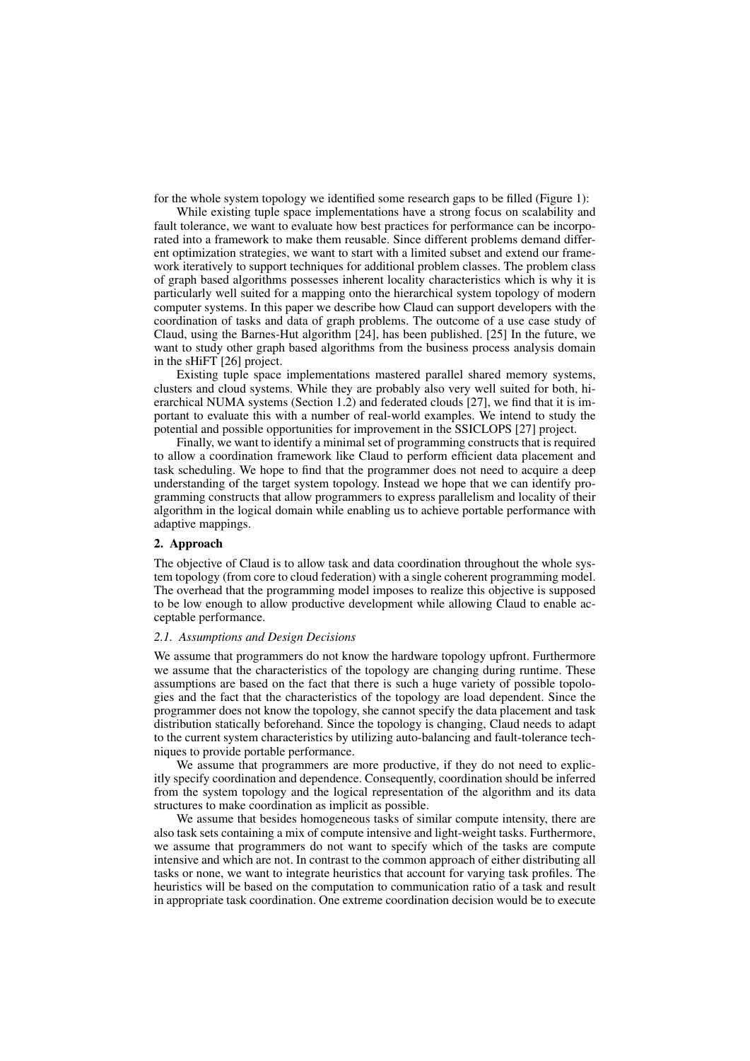for the whole system topology we identified some research gaps to be filled (Figure 1):

While existing tuple space implementations have a strong focus on scalability and fault tolerance, we want to evaluate how best practices for performance can be incorporated into a framework to make them reusable. Since different problems demand different optimization strategies, we want to start with a limited subset and extend our framework iteratively to support techniques for additional problem classes. The problem class of graph based algorithms possesses inherent locality characteristics which is why it is particularly well suited for a mapping onto the hierarchical system topology of modern computer systems. In this paper we describe how Claud can support developers with the coordination of tasks and data of graph problems. The outcome of a use case study of Claud, using the Barnes-Hut algorithm [24], has been published. [25] In the future, we want to study other graph based algorithms from the business process analysis domain in the sHiFT [26] project.

Existing tuple space implementations mastered parallel shared memory systems, clusters and cloud systems. While they are probably also very well suited for both, hierarchical NUMA systems (Section 1.2) and federated clouds [27], we find that it is important to evaluate this with a number of real-world examples. We intend to study the potential and possible opportunities for improvement in the SSICLOPS [27] project.

Finally, we want to identify a minimal set of programming constructs that is required to allow a coordination framework like Claud to perform efficient data placement and task scheduling. We hope to find that the programmer does not need to acquire a deep understanding of the target system topology. Instead we hope that we can identify programming constructs that allow programmers to express parallelism and locality of their algorithm in the logical domain while enabling us to achieve portable performance with adaptive mappings.

## 2. Approach

The objective of Claud is to allow task and data coordination throughout the whole system topology (from core to cloud federation) with a single coherent programming model. The overhead that the programming model imposes to realize this objective is supposed to be low enough to allow productive development while allowing Claud to enable acceptable performance.

## *2.1. Assumptions and Design Decisions*

We assume that programmers do not know the hardware topology upfront. Furthermore we assume that the characteristics of the topology are changing during runtime. These assumptions are based on the fact that there is such a huge variety of possible topologies and the fact that the characteristics of the topology are load dependent. Since the programmer does not know the topology, she cannot specify the data placement and task distribution statically beforehand. Since the topology is changing, Claud needs to adapt to the current system characteristics by utilizing auto-balancing and fault-tolerance techniques to provide portable performance.

We assume that programmers are more productive, if they do not need to explicitly specify coordination and dependence. Consequently, coordination should be inferred from the system topology and the logical representation of the algorithm and its data structures to make coordination as implicit as possible.

We assume that besides homogeneous tasks of similar compute intensity, there are also task sets containing a mix of compute intensive and light-weight tasks. Furthermore, we assume that programmers do not want to specify which of the tasks are compute intensive and which are not. In contrast to the common approach of either distributing all tasks or none, we want to integrate heuristics that account for varying task profiles. The heuristics will be based on the computation to communication ratio of a task and result in appropriate task coordination. One extreme coordination decision would be to execute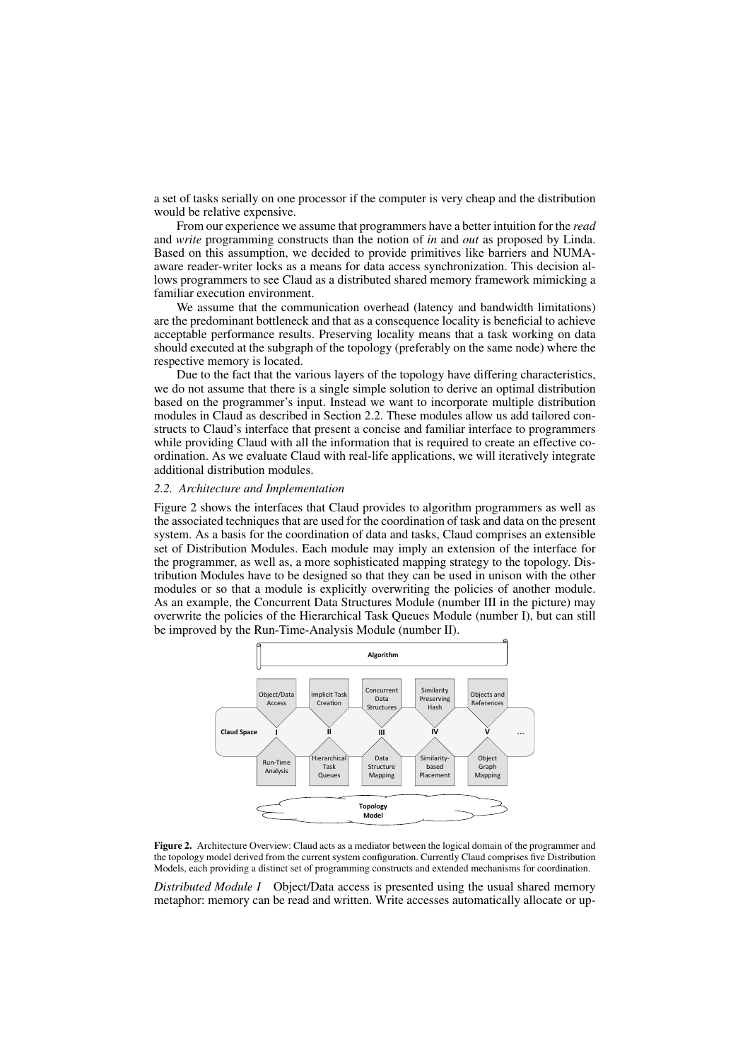a set of tasks serially on one processor if the computer is very cheap and the distribution would be relative expensive.

From our experience we assume that programmers have a better intuition for the *read* and *write* programming constructs than the notion of *in* and *out* as proposed by Linda. Based on this assumption, we decided to provide primitives like barriers and NUMAaware reader-writer locks as a means for data access synchronization. This decision allows programmers to see Claud as a distributed shared memory framework mimicking a familiar execution environment.

We assume that the communication overhead (latency and bandwidth limitations) are the predominant bottleneck and that as a consequence locality is beneficial to achieve acceptable performance results. Preserving locality means that a task working on data should executed at the subgraph of the topology (preferably on the same node) where the respective memory is located.

Due to the fact that the various layers of the topology have differing characteristics, we do not assume that there is a single simple solution to derive an optimal distribution based on the programmer's input. Instead we want to incorporate multiple distribution modules in Claud as described in Section 2.2. These modules allow us add tailored constructs to Claud's interface that present a concise and familiar interface to programmers while providing Claud with all the information that is required to create an effective coordination. As we evaluate Claud with real-life applications, we will iteratively integrate additional distribution modules.

# *2.2. Architecture and Implementation*

Figure 2 shows the interfaces that Claud provides to algorithm programmers as well as the associated techniques that are used for the coordination of task and data on the present system. As a basis for the coordination of data and tasks, Claud comprises an extensible set of Distribution Modules. Each module may imply an extension of the interface for the programmer, as well as, a more sophisticated mapping strategy to the topology. Distribution Modules have to be designed so that they can be used in unison with the other modules or so that a module is explicitly overwriting the policies of another module. As an example, the Concurrent Data Structures Module (number III in the picture) may overwrite the policies of the Hierarchical Task Queues Module (number I), but can still be improved by the Run-Time-Analysis Module (number II).



Figure 2. Architecture Overview: Claud acts as a mediator between the logical domain of the programmer and the topology model derived from the current system configuration. Currently Claud comprises five Distribution Models, each providing a distinct set of programming constructs and extended mechanisms for coordination.

*Distributed Module I* Object/Data access is presented using the usual shared memory metaphor: memory can be read and written. Write accesses automatically allocate or up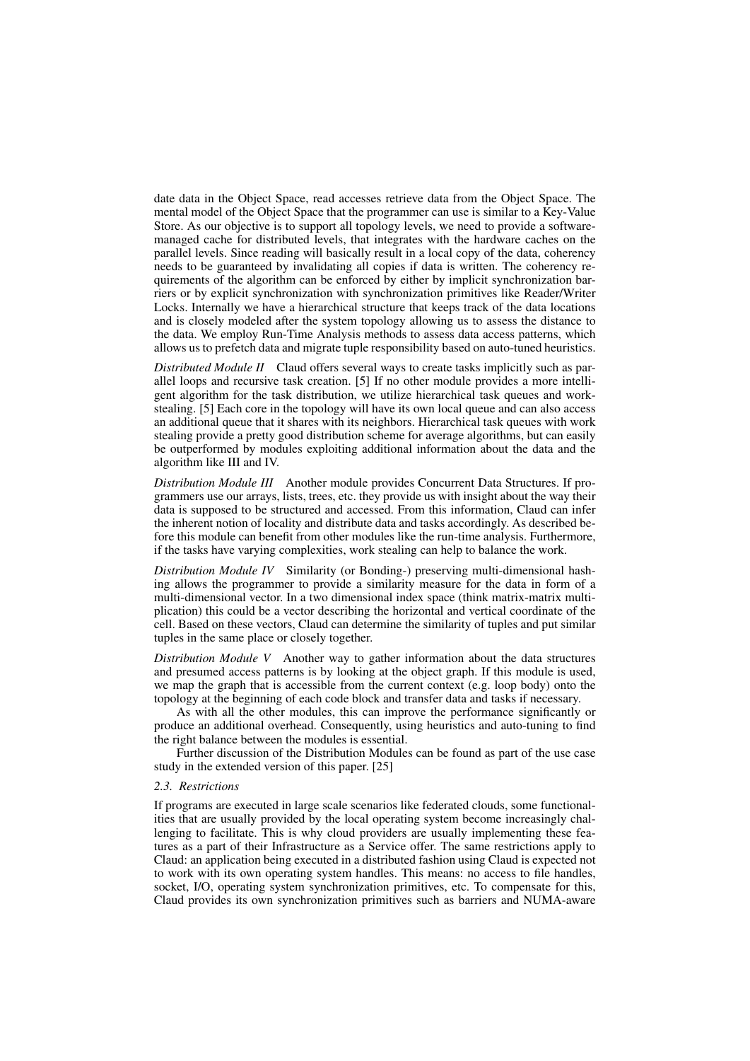date data in the Object Space, read accesses retrieve data from the Object Space. The mental model of the Object Space that the programmer can use is similar to a Key-Value Store. As our objective is to support all topology levels, we need to provide a softwaremanaged cache for distributed levels, that integrates with the hardware caches on the parallel levels. Since reading will basically result in a local copy of the data, coherency needs to be guaranteed by invalidating all copies if data is written. The coherency requirements of the algorithm can be enforced by either by implicit synchronization barriers or by explicit synchronization with synchronization primitives like Reader/Writer Locks. Internally we have a hierarchical structure that keeps track of the data locations and is closely modeled after the system topology allowing us to assess the distance to the data. We employ Run-Time Analysis methods to assess data access patterns, which allows us to prefetch data and migrate tuple responsibility based on auto-tuned heuristics.

*Distributed Module II* Claud offers several ways to create tasks implicitly such as parallel loops and recursive task creation. [5] If no other module provides a more intelligent algorithm for the task distribution, we utilize hierarchical task queues and workstealing. [5] Each core in the topology will have its own local queue and can also access an additional queue that it shares with its neighbors. Hierarchical task queues with work stealing provide a pretty good distribution scheme for average algorithms, but can easily be outperformed by modules exploiting additional information about the data and the algorithm like III and IV.

*Distribution Module III* Another module provides Concurrent Data Structures. If programmers use our arrays, lists, trees, etc. they provide us with insight about the way their data is supposed to be structured and accessed. From this information, Claud can infer the inherent notion of locality and distribute data and tasks accordingly. As described before this module can benefit from other modules like the run-time analysis. Furthermore, if the tasks have varying complexities, work stealing can help to balance the work.

*Distribution Module IV* Similarity (or Bonding-) preserving multi-dimensional hashing allows the programmer to provide a similarity measure for the data in form of a multi-dimensional vector. In a two dimensional index space (think matrix-matrix multiplication) this could be a vector describing the horizontal and vertical coordinate of the cell. Based on these vectors, Claud can determine the similarity of tuples and put similar tuples in the same place or closely together.

*Distribution Module V* Another way to gather information about the data structures and presumed access patterns is by looking at the object graph. If this module is used, we map the graph that is accessible from the current context (e.g. loop body) onto the topology at the beginning of each code block and transfer data and tasks if necessary.

As with all the other modules, this can improve the performance significantly or produce an additional overhead. Consequently, using heuristics and auto-tuning to find the right balance between the modules is essential.

Further discussion of the Distribution Modules can be found as part of the use case study in the extended version of this paper. [25]

#### *2.3. Restrictions*

If programs are executed in large scale scenarios like federated clouds, some functionalities that are usually provided by the local operating system become increasingly challenging to facilitate. This is why cloud providers are usually implementing these features as a part of their Infrastructure as a Service offer. The same restrictions apply to Claud: an application being executed in a distributed fashion using Claud is expected not to work with its own operating system handles. This means: no access to file handles, socket, I/O, operating system synchronization primitives, etc. To compensate for this, Claud provides its own synchronization primitives such as barriers and NUMA-aware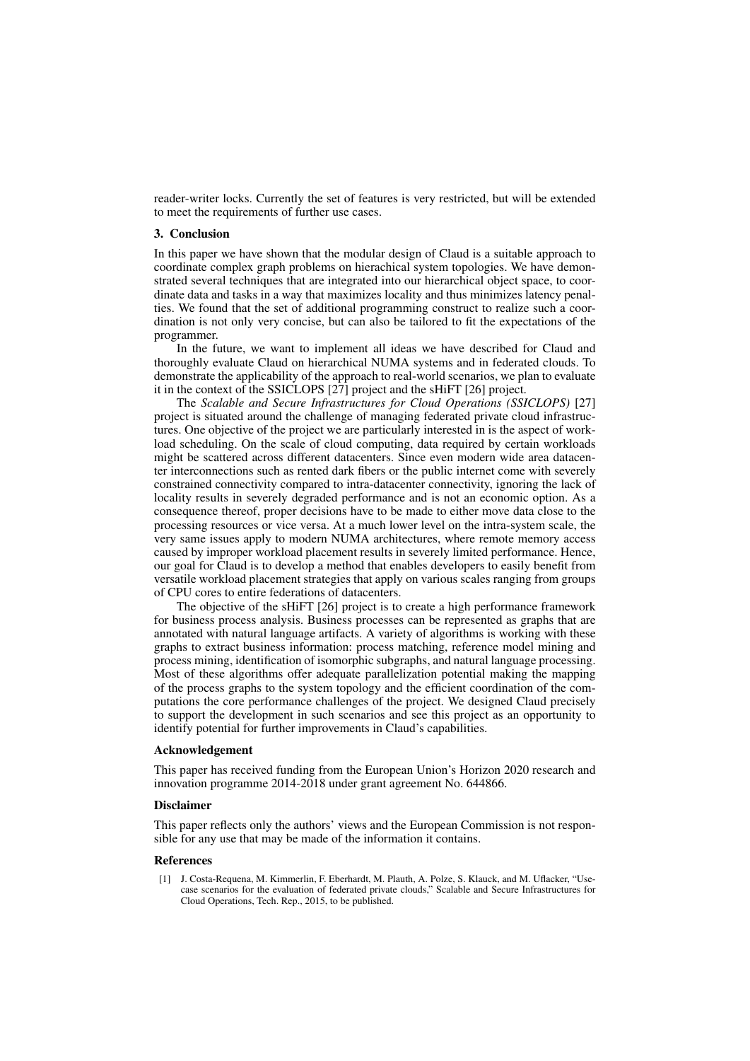reader-writer locks. Currently the set of features is very restricted, but will be extended to meet the requirements of further use cases.

#### 3. Conclusion

In this paper we have shown that the modular design of Claud is a suitable approach to coordinate complex graph problems on hierachical system topologies. We have demonstrated several techniques that are integrated into our hierarchical object space, to coordinate data and tasks in a way that maximizes locality and thus minimizes latency penalties. We found that the set of additional programming construct to realize such a coordination is not only very concise, but can also be tailored to fit the expectations of the programmer.

In the future, we want to implement all ideas we have described for Claud and thoroughly evaluate Claud on hierarchical NUMA systems and in federated clouds. To demonstrate the applicability of the approach to real-world scenarios, we plan to evaluate it in the context of the SSICLOPS [27] project and the sHiFT [26] project.

The *Scalable and Secure Infrastructures for Cloud Operations (SSICLOPS)* [27] project is situated around the challenge of managing federated private cloud infrastructures. One objective of the project we are particularly interested in is the aspect of workload scheduling. On the scale of cloud computing, data required by certain workloads might be scattered across different datacenters. Since even modern wide area datacenter interconnections such as rented dark fibers or the public internet come with severely constrained connectivity compared to intra-datacenter connectivity, ignoring the lack of locality results in severely degraded performance and is not an economic option. As a consequence thereof, proper decisions have to be made to either move data close to the processing resources or vice versa. At a much lower level on the intra-system scale, the very same issues apply to modern NUMA architectures, where remote memory access caused by improper workload placement results in severely limited performance. Hence, our goal for Claud is to develop a method that enables developers to easily benefit from versatile workload placement strategies that apply on various scales ranging from groups of CPU cores to entire federations of datacenters.

The objective of the sHiFT [26] project is to create a high performance framework for business process analysis. Business processes can be represented as graphs that are annotated with natural language artifacts. A variety of algorithms is working with these graphs to extract business information: process matching, reference model mining and process mining, identification of isomorphic subgraphs, and natural language processing. Most of these algorithms offer adequate parallelization potential making the mapping of the process graphs to the system topology and the efficient coordination of the computations the core performance challenges of the project. We designed Claud precisely to support the development in such scenarios and see this project as an opportunity to identify potential for further improvements in Claud's capabilities.

## Acknowledgement

This paper has received funding from the European Union's Horizon 2020 research and innovation programme 2014-2018 under grant agreement No. 644866.

## Disclaimer

This paper reflects only the authors' views and the European Commission is not responsible for any use that may be made of the information it contains.

## References

[1] J. Costa-Requena, M. Kimmerlin, F. Eberhardt, M. Plauth, A. Polze, S. Klauck, and M. Uflacker, "Usecase scenarios for the evaluation of federated private clouds," Scalable and Secure Infrastructures for Cloud Operations, Tech. Rep., 2015, to be published.